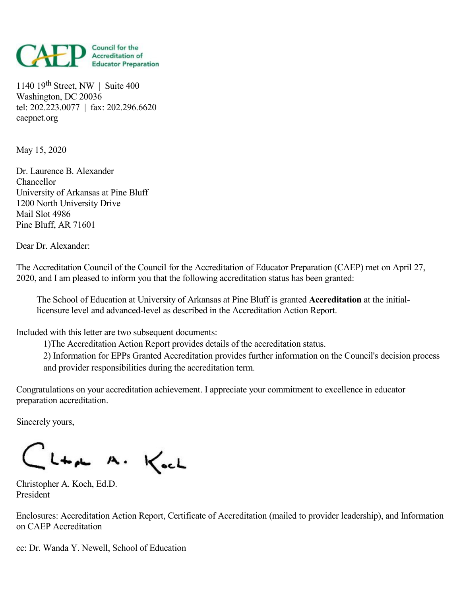

1140 19 th Street, NW | Suite 400 Washington, DC 20036 tel: 202.223.0077 | fax: 202.296.6620 caepnet.org

May 15, 2020

Dr. Laurence B. Alexander Chancellor University of Arkansas at Pine Bluff 1200 North University Drive Mail Slot 4986 Pine Bluff, AR 71601

Dear Dr. Alexander:

The Accreditation Council of the Council for the Accreditation of Educator Preparation (CAEP) met on April 27, 2020, and Iam pleased to inform you that the following accreditation status has been granted:

The School of Education at University of Arkansas at Pine Bluff is granted **Accreditation** at the initiallicensure level and advanced-level as described in the Accreditation Action Report.

Included with this letter are two subsequent documents:

1)The Accreditation Action Report provides details of the accreditation status.

2) Information for EPPs Granted Accreditation provides further information on the Council's decision process and provider responsibilities during the accreditation term.

Congratulations on your accreditation achievement. I appreciate your commitment to excellence in educator preparation accreditation.

Sincerely yours,

CL+A A. Koch

Christopher A. Koch, Ed.D. President

Enclosures: Accreditation Action Report, Certificate of Accreditation (mailed to provider leadership), and Information on CAEP Accreditation

cc: Dr. Wanda Y. Newell, School of Education